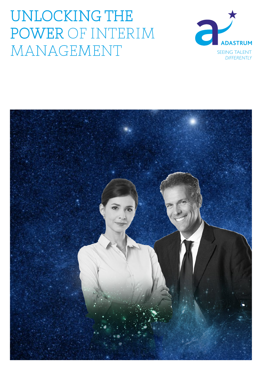# UNLOCKING THE POWER OF INTERIM MANAGEMENT



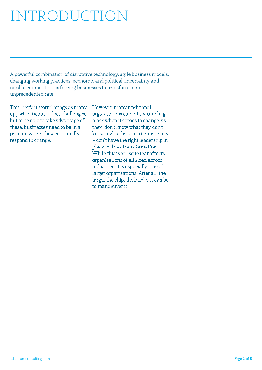# INTRODUCTION

A powerful combination of disruptive technology, agile business models, changing working practices, economic and political uncertainty and nimble competitiors is forcing businesses to transform at an unprecedented rate.

This 'perfect storm' brings as many opportunities as it does challenges, but to be able to take advantage of these, businesses need to be in a position where they can rapidly respond to change.

However, many traditional organisations can hit a stumbling block when it comes to change, as they 'don't know what they don't know' and perhaps most importantly – don't have the right leadership in place to drive transformation. While this is an issue that affects organisations of all sizes, across industries, it is especially true of larger organisations. After all, the larger the ship, the harder it can be to manoeuver it.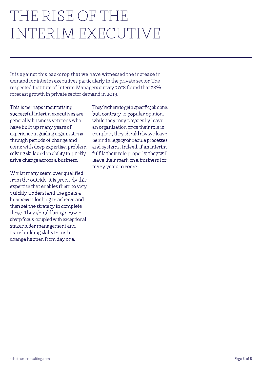## THE RISE OF THE INTERIM EXECUTIVE

It is against this backdrop that we have witnessed the increase in demand for interim executives particularly in the private sector. The respected Institute of Interim Managers survey 2018 found that 28% forecast growth in private sector demand in 2019.

This is perhaps unsurprising, successful interim executives are generally business veterens who have built up many years of experience in guiding organisations through periods of change and come with deep expertise, problem solving skills and an ability to quickly drive change across a business.

Whilst many seem over qualified from the outside, it is precisely this expertise that enables them to very quickly understand the goals a business is looking to acheive and then set the strategy to complete these. They should bring a razor sharp focus, coupled with exceptional stakeholder management and team building skills to make change happen from day one.

They're there to get a specific job done, but, contrary to popular opinion, while they may physically leave an organisation once their role is complete, they should always leave behind a legacy of people processes and systems. Indeed, if an interim fulfils their role properly, they will leave their mark on a business for many years to come.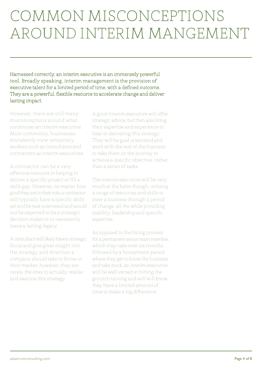# COMMON MISCONCEPTIONS AROUND INTERIM MANGEMENT

Harnessed correctly, an interim executive is an immensely powerful tool. Broadly speaking, interim management is the provision of executive talent for a limited period of time, with a defined outcome. They are a powerful, flexible resource to accelerate change and deliver lasting impact.

However, there are still many misconceptions around what constitutes an interim executive. Most commonly, businesses mistakenly view temporary workers such as consultants and contractors as interim executives.

A contractor can be a very effective resource in helping to deliver a specific project or fill a skills gap. However, no matter how good they are in their role, a contractor will typically have a specific skills set and be task orientated and would not be expected to be a strategic decision maker or to necessarily leave a lasting legacy.

A consultant will likely have a strategic focus and give great insight into the strategy and direction a company should take to thrive in their market, however, they are rarely the ones to actually realise and execute this strategy.

A good interim executive will offer strategic advice, but then also bring their expertise and experience to bear in delivering this strategy. They will be goal orientated and work with the rest of the business to take them on the journey to acheive a specific objective, rather than a series of tasks.

The interim executive will be very much at the helm though, utilising a range of resources and skills to steer a business through a period of change, all the while providing stability, leadership and specific expertise.

As opposed to the hiring process for a permanent senior team member, which may take over six months, followed by a honeymoon period where they get to know the business and take stock, an interim executive will be well versed in hitting the ground running and will will know they have a limited amount of time to make a big difference.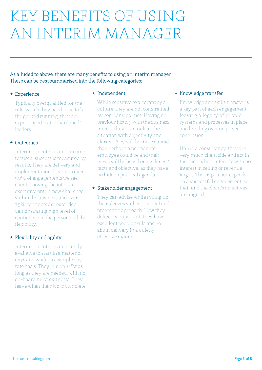# KEY BENEFITS OF USING AN INTERIM MANAGER

As alluded to above, there are many benefits to using an interim manager. These can be best summarised into the following categories:

#### $\star$  Experience

Typically overqualified for the role, which they need to be to hit the ground running, they are experienced "battle hardened" leaders.

#### $\star$  Outcomes

Interim executives are outcome focused, success is measured by results. They are delivery and implementation driven. In over 50% of engagements we see clients moving the interim executive onto a new challenge within the business and over 75% contracts are extended demonstrating high level of confidence in the person and the flexibility.

### $\star$  Flexibility and agility

Interim executives are usually available to start in a matter of days and work on a simple day rate basis. They join only for as long as they are needed, with no on-boarding or exit costs. They leave when their job is complete.

#### \* Independent

While sensitive to a company's culture, they are not constrained by company politics. Having no previous history with the business means they can look at the situation with objectivity and clarity. They will be more candid than perhaps a permanent employee could be and their views will be based on evidence / facts and objective, as they have no hidden political agenda.

### Stakeholder engagement

They can advise while rolling up their sleeves with a practical and pragmatic approach. How they deliver is important, they have excellent people skills and go about delivery in a quietly effective manner.

### $\star$  Knowledge transfer

Knowledge and skills transfer is a key part of each engagement, leaving a legacy of people, systems and processes in place and handing over on project conclusion.

Unlike a consultancy, they are very much client side and act in the client's best interests with no interest in selling or revenue targets. Their reputation depends on a successful engagement, so their and the client's objectives are aligned.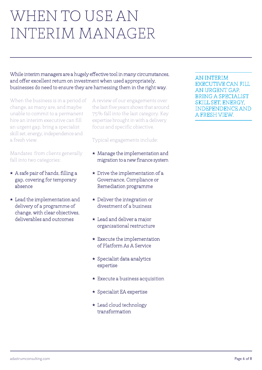## WHEN TO USE AN INTERIM MANAGER

While interim managers are a hugely effective tool in many circumstances, and offer excellent return on investment when used appropriately, businesses do need to ensure they are harnessing them in the right way.

When the business is in a period of change, as many are, and maybe unable to commit to a permanent hire an interim executive can fill an urgent gap, bring a specialist skill set, energy, independence and a fresh view.

Mandates from clients generally fall into two categories:

- $\star$  A safe pair of hands, filling a gap, covering for temporary absence
- $\star$  Lead the implementation and delivery of a programme of change, with clear objectives, deliverables and outcomes

A review of our engagements over the last five years shows that around 75% fall into the last category. Key expertise brought in with a delivery focus and specific objective.

Typical engagements include:

- $\star$  Manage the implementation and migration to a new finance system
- $\star$  Drive the implementation of a Governance, Compliance or Remediation programme
- $\star$  Deliver the integration or divestment of a business
- $\star$  Lead and deliver a major organisational restructure
- $\star$  Execute the implementation of Platform As A Service
- $\star$  Specialist data analytics expertise
- $\star$  Execute a business acquisition
- ★ Specialist EA expertise
- Lead cloud technology transformation

AN INTERIM EXECUTIVE CAN FILL AN URGENT GAP, BRING A SPECIALIST SKILL SET, ENERGY, INDEPENDENCE AND A FRESH VIEW.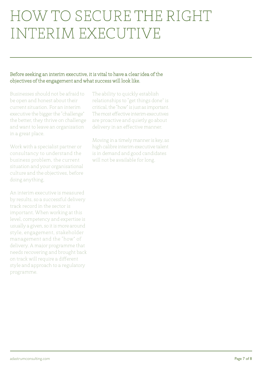## HOW TO SECURE THE RIGHT INTERIM EXECUTIVE

### Before seeking an interim executive, it is vital to have a clear idea of the objectives of the engagement and what success will look like.

Businesses should not be afraid to be open and honest about their current situation. For an interim executive the bigger the "challenge" the better, they thrive on challenge and want to leave an organisation in a great place.

Work with a specialist partner or consultancy to understand the business problem, the current situation and your organisational culture and the objectives, before doing anything.

An interim executive is measured by results, so a successful delivery track record in the sector is important. When working at this level, competency and expertise is usually a given, so it is more around style, engagement, stakeholder management and the "how" of delivery. A major programme that needs recovering and brought back on track will require a different style and approach to a regulatory programme.

The ability to quickly establish relationships to "get things done" is critical, the "how" is just as important. The most effective interim executives are proactive and quietly go about delivery in an effective manner.

Moving in a timely manner is key, as high calibre interim executive talent is in demand and good candidates will not be available for long.